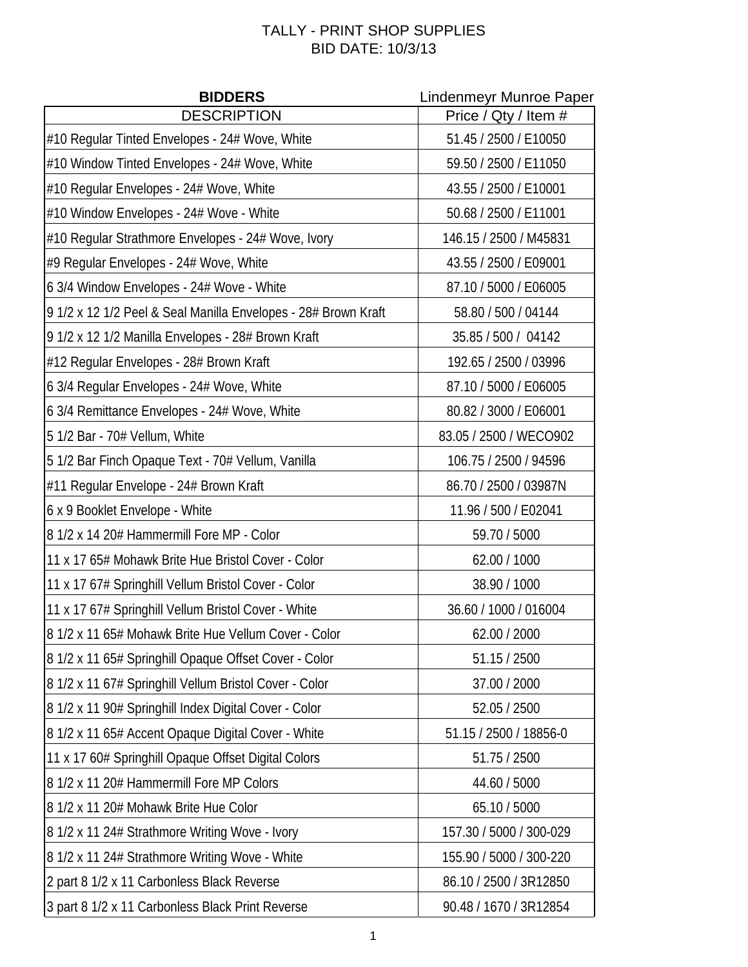## TALLY - PRINT SHOP SUPPLIES BID DATE: 10/3/13

| <b>BIDDERS</b>                                                 | Lindenmeyr Munroe Paper |
|----------------------------------------------------------------|-------------------------|
| <b>DESCRIPTION</b>                                             | Price / Qty / Item #    |
| #10 Regular Tinted Envelopes - 24# Wove, White                 | 51.45 / 2500 / E10050   |
| #10 Window Tinted Envelopes - 24# Wove, White                  | 59.50 / 2500 / E11050   |
| #10 Regular Envelopes - 24# Wove, White                        | 43.55 / 2500 / E10001   |
| #10 Window Envelopes - 24# Wove - White                        | 50.68 / 2500 / E11001   |
| #10 Regular Strathmore Envelopes - 24# Wove, Ivory             | 146.15 / 2500 / M45831  |
| #9 Regular Envelopes - 24# Wove, White                         | 43.55 / 2500 / E09001   |
| 6 3/4 Window Envelopes - 24# Wove - White                      | 87.10 / 5000 / E06005   |
| 9 1/2 x 12 1/2 Peel & Seal Manilla Envelopes - 28# Brown Kraft | 58.80 / 500 / 04144     |
| 9 1/2 x 12 1/2 Manilla Envelopes - 28# Brown Kraft             | 35.85 / 500 / 04142     |
| #12 Regular Envelopes - 28# Brown Kraft                        | 192.65 / 2500 / 03996   |
| 6 3/4 Regular Envelopes - 24# Wove, White                      | 87.10 / 5000 / E06005   |
| 6 3/4 Remittance Envelopes - 24# Wove, White                   | 80.82 / 3000 / E06001   |
| 5 1/2 Bar - 70# Vellum, White                                  | 83.05 / 2500 / WECO902  |
| 5 1/2 Bar Finch Opaque Text - 70# Vellum, Vanilla              | 106.75 / 2500 / 94596   |
| #11 Regular Envelope - 24# Brown Kraft                         | 86.70 / 2500 / 03987N   |
| 6 x 9 Booklet Envelope - White                                 | 11.96 / 500 / E02041    |
| 8 1/2 x 14 20# Hammermill Fore MP - Color                      | 59.70 / 5000            |
| 11 x 17 65# Mohawk Brite Hue Bristol Cover - Color             | 62.00 / 1000            |
| 11 x 17 67# Springhill Vellum Bristol Cover - Color            | 38.90 / 1000            |
| 11 x 17 67# Springhill Vellum Bristol Cover - White            | 36.60 / 1000 / 016004   |
| 8 1/2 x 11 65# Mohawk Brite Hue Vellum Cover - Color           | 62.00 / 2000            |
| 8 1/2 x 11 65# Springhill Opaque Offset Cover - Color          | 51.15 / 2500            |
| 8 1/2 x 11 67# Springhill Vellum Bristol Cover - Color         | 37.00 / 2000            |
| 8 1/2 x 11 90# Springhill Index Digital Cover - Color          | 52.05 / 2500            |
| 8 1/2 x 11 65# Accent Opaque Digital Cover - White             | 51.15 / 2500 / 18856-0  |
| 11 x 17 60# Springhill Opaque Offset Digital Colors            | 51.75 / 2500            |
| 8 1/2 x 11 20# Hammermill Fore MP Colors                       | 44.60 / 5000            |
| 8 1/2 x 11 20# Mohawk Brite Hue Color                          | 65.10 / 5000            |
| 8 1/2 x 11 24# Strathmore Writing Wove - Ivory                 | 157.30 / 5000 / 300-029 |
| 8 1/2 x 11 24# Strathmore Writing Wove - White                 | 155.90 / 5000 / 300-220 |
| 2 part 8 1/2 x 11 Carbonless Black Reverse                     | 86.10 / 2500 / 3R12850  |
| 3 part 8 1/2 x 11 Carbonless Black Print Reverse               | 90.48 / 1670 / 3R12854  |